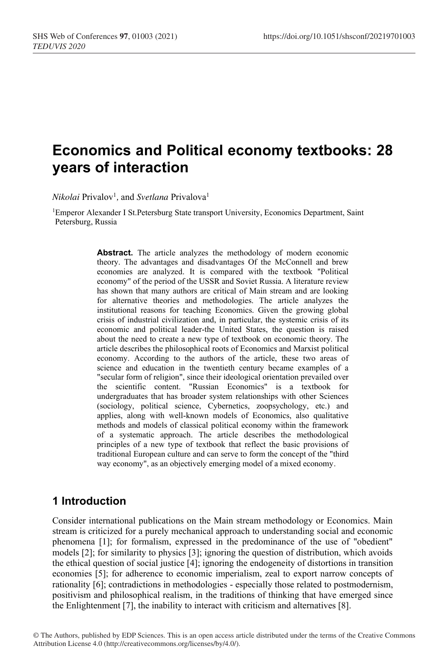# **Economics and Political economy textbooks: 28 years of interaction**

 $Nikolai$  Privalov<sup>1</sup>, and *Svetlana* Privalova<sup>1</sup>

1Emperor Alexander I St.Petersburg State transport University, Economics Department, Saint Petersburg, Russia

> **Abstract.** The article analyzes the methodology of modern economic theory. The advantages and disadvantages Of the McConnell and brew economies are analyzed. It is compared with the textbook "Political economy" of the period of the USSR and Soviet Russia. A literature review has shown that many authors are critical of Main stream and are looking for alternative theories and methodologies. The article analyzes the institutional reasons for teaching Economics. Given the growing global crisis of industrial civilization and, in particular, the systemic crisis of its economic and political leader-the United States, the question is raised about the need to create a new type of textbook on economic theory. The article describes the philosophical roots of Economics and Marxist political economy. According to the authors of the article, these two areas of science and education in the twentieth century became examples of a "secular form of religion", since their ideological orientation prevailed over the scientific content. "Russian Economics" is a textbook for undergraduates that has broader system relationships with other Sciences (sociology, political science, Cybernetics, zoopsychology, etc.) and applies, along with well-known models of Economics, also qualitative methods and models of classical political economy within the framework of a systematic approach. The article describes the methodological principles of a new type of textbook that reflect the basic provisions of traditional European culture and can serve to form the concept of the "third way economy", as an objectively emerging model of a mixed economy.

# **1 Introduction**

Consider international publications on the Main stream methodology or Economics. Main stream is criticized for a purely mechanical approach to understanding social and economic phenomena [1]; for formalism, expressed in the predominance of the use of "obedient" models [2]; for similarity to physics [3]; ignoring the question of distribution, which avoids the ethical question of social justice [4]; ignoring the endogeneity of distortions in transition economies [5]; for adherence to economic imperialism, zeal to export narrow concepts of rationality [6]; contradictions in methodologies - especially those related to postmodernism, positivism and philosophical realism, in the traditions of thinking that have emerged since the Enlightenment [7], the inability to interact with criticism and alternatives [8].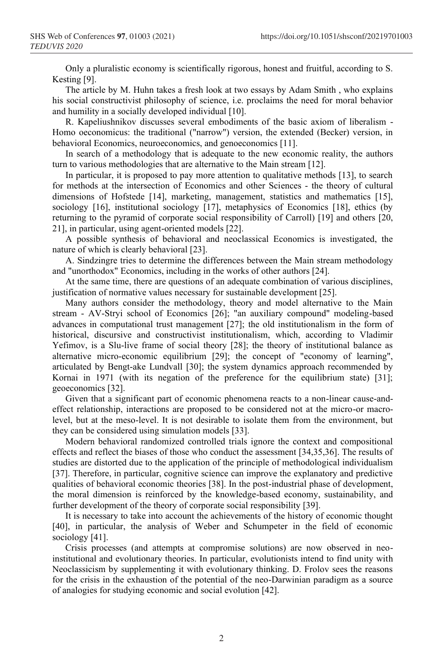Only a pluralistic economy is scientifically rigorous, honest and fruitful, according to S. Kesting [9].

The article by M. Huhn takes a fresh look at two essays by Adam Smith , who explains his social constructivist philosophy of science, i.e. proclaims the need for moral behavior and humility in a socially developed individual [10].

R. Kapeliushnikov discusses several embodiments of the basic axiom of liberalism - Homo oeconomicus: the traditional ("narrow") version, the extended (Becker) version, in behavioral Economics, neuroeconomics, and genoeconomics [11].

In search of a methodology that is adequate to the new economic reality, the authors turn to various methodologies that are alternative to the Main stream [12].

In particular, it is proposed to pay more attention to qualitative methods [13], to search for methods at the intersection of Economics and other Sciences - the theory of cultural dimensions of Hofstede [14], marketing, management, statistics and mathematics [15], sociology [16], institutional sociology [17], metaphysics of Economics [18], ethics (by returning to the pyramid of corporate social responsibility of Carroll) [19] and others [20, 21], in particular, using agent-oriented models [22].

A possible synthesis of behavioral and neoclassical Economics is investigated, the nature of which is clearly behavioral [23].

A. Sindzingre tries to determine the differences between the Main stream methodology and "unorthodox" Economics, including in the works of other authors [24].

At the same time, there are questions of an adequate combination of various disciplines, justification of normative values necessary for sustainable development [25].

Many authors consider the methodology, theory and model alternative to the Main stream - AV-Stryi school of Economics [26]; "an auxiliary compound" modeling-based advances in computational trust management [27]; the old institutionalism in the form of historical, discursive and constructivist institutionalism, which, according to Vladimir Yefimov, is a Slu-live frame of social theory [28]; the theory of institutional balance as alternative micro-economic equilibrium [29]; the concept of "economy of learning", articulated by Bengt-ake Lundvall [30]; the system dynamics approach recommended by Kornai in 1971 (with its negation of the preference for the equilibrium state) [31]; geoeconomics [32].

Given that a significant part of economic phenomena reacts to a non-linear cause-andeffect relationship, interactions are proposed to be considered not at the micro-or macrolevel, but at the meso-level. It is not desirable to isolate them from the environment, but they can be considered using simulation models [33].

Modern behavioral randomized controlled trials ignore the context and compositional effects and reflect the biases of those who conduct the assessment [34,35,36]. The results of studies are distorted due to the application of the principle of methodological individualism [37]. Therefore, in particular, cognitive science can improve the explanatory and predictive qualities of behavioral economic theories [38]. In the post-industrial phase of development, the moral dimension is reinforced by the knowledge-based economy, sustainability, and further development of the theory of corporate social responsibility [39].

It is necessary to take into account the achievements of the history of economic thought [40], in particular, the analysis of Weber and Schumpeter in the field of economic sociology [41].

Crisis processes (and attempts at compromise solutions) are now observed in neoinstitutional and evolutionary theories. In particular, evolutionists intend to find unity with Neoclassicism by supplementing it with evolutionary thinking. D. Frolov sees the reasons for the crisis in the exhaustion of the potential of the neo-Darwinian paradigm as a source of analogies for studying economic and social evolution [42].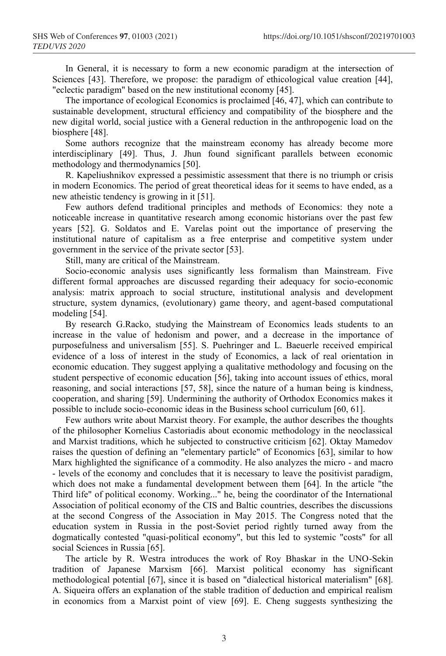In General, it is necessary to form a new economic paradigm at the intersection of Sciences [43]. Therefore, we propose: the paradigm of ethicological value creation [44], "eclectic paradigm" based on the new institutional economy [45].

The importance of ecological Economics is proclaimed [46, 47], which can contribute to sustainable development, structural efficiency and compatibility of the biosphere and the new digital world, social justice with a General reduction in the anthropogenic load on the biosphere [48].

Some authors recognize that the mainstream economy has already become more interdisciplinary [49]. Thus, J. Jhun found significant parallels between economic methodology and thermodynamics [50].

R. Kapeliushnikov expressed a pessimistic assessment that there is no triumph or crisis in modern Economics. The period of great theoretical ideas for it seems to have ended, as a new atheistic tendency is growing in it [51].

Few authors defend traditional principles and methods of Economics: they note a noticeable increase in quantitative research among economic historians over the past few years [52]. G. Soldatos and E. Varelas point out the importance of preserving the institutional nature of capitalism as a free enterprise and competitive system under government in the service of the private sector [53].

Still, many are critical of the Mainstream.

Socio-economic analysis uses significantly less formalism than Mainstream. Five different formal approaches are discussed regarding their adequacy for socio-economic analysis: matrix approach to social structure, institutional analysis and development structure, system dynamics, (evolutionary) game theory, and agent-based computational modeling [54].

By research G.Racko, studying the Mainstream of Economics leads students to an increase in the value of hedonism and power, and a decrease in the importance of purposefulness and universalism [55]. S. Puehringer and L. Baeuerle received empirical evidence of a loss of interest in the study of Economics, a lack of real orientation in economic education. They suggest applying a qualitative methodology and focusing on the student perspective of economic education [56], taking into account issues of ethics, moral reasoning, and social interactions [57, 58], since the nature of a human being is kindness, cooperation, and sharing [59]. Undermining the authority of Orthodox Economics makes it possible to include socio-economic ideas in the Business school curriculum [60, 61].

Few authors write about Marxist theory. For example, the author describes the thoughts of the philosopher Kornelius Castoriadis about economic methodology in the neoclassical and Marxist traditions, which he subjected to constructive criticism [62]. Oktay Mamedov raises the question of defining an "elementary particle" of Economics [63], similar to how Marx highlighted the significance of a commodity. He also analyzes the micro - and macro - levels of the economy and concludes that it is necessary to leave the positivist paradigm, which does not make a fundamental development between them [64]. In the article "the Third life" of political economy. Working..." he, being the coordinator of the International Association of political economy of the CIS and Baltic countries, describes the discussions at the second Congress of the Association in May 2015. The Congress noted that the education system in Russia in the post-Soviet period rightly turned away from the dogmatically contested "quasi-political economy", but this led to systemic "costs" for all social Sciences in Russia [65].

The article by R. Westra introduces the work of Roy Bhaskar in the UNO-Sekin tradition of Japanese Marxism [66]. Marxist political economy has significant methodological potential [67], since it is based on "dialectical historical materialism" [68]. A. Siqueira offers an explanation of the stable tradition of deduction and empirical realism in economics from a Marxist point of view [69]. E. Cheng suggests synthesizing the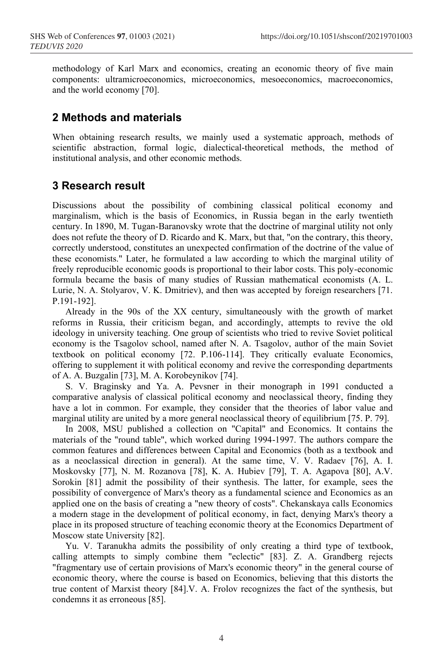methodology of Karl Marx and economics, creating an economic theory of five main components: ultramicroeconomics, microeconomics, mesoeconomics, macroeconomics, and the world economy [70].

#### **2 Methods and materials**

When obtaining research results, we mainly used a systematic approach, methods of scientific abstraction, formal logic, dialectical-theoretical methods, the method of institutional analysis, and other economic methods.

# **3 Research result**

Discussions about the possibility of combining classical political economy and marginalism, which is the basis of Economics, in Russia began in the early twentieth century. In 1890, M. Tugan-Baranovsky wrote that the doctrine of marginal utility not only does not refute the theory of D. Ricardo and K. Marx, but that, "on the contrary, this theory, correctly understood, constitutes an unexpected confirmation of the doctrine of the value of these economists." Later, he formulated a law according to which the marginal utility of freely reproducible economic goods is proportional to their labor costs. This poly-economic formula became the basis of many studies of Russian mathematical economists (A. L. Lurie, N. A. Stolyarov, V. K. Dmitriev), and then was accepted by foreign researchers [71. P.191-192].

Already in the 90s of the XX century, simultaneously with the growth of market reforms in Russia, their criticism began, and accordingly, attempts to revive the old ideology in university teaching. One group of scientists who tried to revive Soviet political economy is the Tsagolov school, named after N. A. Tsagolov, author of the main Soviet textbook on political economy [72. P.106-114]. They critically evaluate Economics, offering to supplement it with political economy and revive the corresponding departments of A. A. Buzgalin [73], M. A. Korobeynikov [74].

S. V. Braginsky and Ya. A. Pevsner in their monograph in 1991 conducted a comparative analysis of classical political economy and neoclassical theory, finding they have a lot in common. For example, they consider that the theories of labor value and marginal utility are united by a more general neoclassical theory of equilibrium [75. P. 79].

In 2008, MSU published a collection on "Capital" and Economics. It contains the materials of the "round table", which worked during 1994-1997. The authors compare the common features and differences between Capital and Economics (both as a textbook and as a neoclassical direction in general). At the same time, V. V. Radaev [76], A. I. Moskovsky [77], N. M. Rozanova [78], K. A. Hubiev [79], T. A. Agapova [80], A.V. Sorokin [81] admit the possibility of their synthesis. The latter, for example, sees the possibility of convergence of Marx's theory as a fundamental science and Economics as an applied one on the basis of creating a "new theory of costs". Chekanskaya calls Economics a modern stage in the development of political economy, in fact, denying Marx's theory a place in its proposed structure of teaching economic theory at the Economics Department of Moscow state University [82].

Yu. V. Taranukha admits the possibility of only creating a third type of textbook, calling attempts to simply combine them "eclectic" [83]. Z. A. Grandberg rejects "fragmentary use of certain provisions of Marx's economic theory" in the general course of economic theory, where the course is based on Economics, believing that this distorts the true content of Marxist theory [84].V. A. Frolov recognizes the fact of the synthesis, but condemns it as erroneous [85].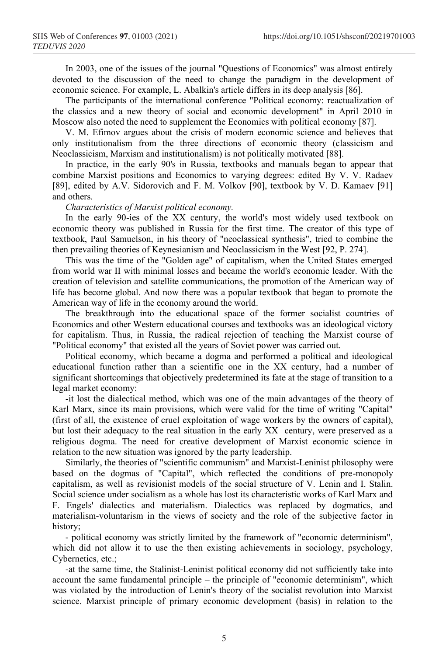In 2003, one of the issues of the journal "Questions of Economics" was almost entirely devoted to the discussion of the need to change the paradigm in the development of economic science. For example, L. Abalkin's article differs in its deep analysis [86].

The participants of the international conference "Political economy: reactualization of the classics and a new theory of social and economic development" in April 2010 in Moscow also noted the need to supplement the Economics with political economy [87].

V. M. Efimov argues about the crisis of modern economic science and believes that only institutionalism from the three directions of economic theory (classicism and Neoclassicism, Marxism and institutionalism) is not politically motivated [88].

In practice, in the early 90's in Russia, textbooks and manuals began to appear that combine Marxist positions and Economics to varying degrees: edited By V. V. Radaev [89], edited by A.V. Sidorovich and F. M. Volkov [90], textbook by V. D. Kamaev [91] and others.

#### *Characteristics of Marxist political economy.*

In the early 90-ies of the XX century, the world's most widely used textbook on economic theory was published in Russia for the first time. The creator of this type of textbook, Paul Samuelson, in his theory of "neoclassical synthesis", tried to combine the then prevailing theories of Keynesianism and Neoclassicism in the West [92, P. 274].

This was the time of the "Golden age" of capitalism, when the United States emerged from world war II with minimal losses and became the world's economic leader. With the creation of television and satellite communications, the promotion of the American way of life has become global. And now there was a popular textbook that began to promote the American way of life in the economy around the world.

The breakthrough into the educational space of the former socialist countries of Economics and other Western educational courses and textbooks was an ideological victory for capitalism. Thus, in Russia, the radical rejection of teaching the Marxist course of "Political economy" that existed all the years of Soviet power was carried out.

Political economy, which became a dogma and performed a political and ideological educational function rather than a scientific one in the XX century, had a number of significant shortcomings that objectively predetermined its fate at the stage of transition to a legal market economy:

-it lost the dialectical method, which was one of the main advantages of the theory of Karl Marx, since its main provisions, which were valid for the time of writing "Capital" (first of all, the existence of cruel exploitation of wage workers by the owners of capital), but lost their adequacy to the real situation in the early XX century, were preserved as a religious dogma. The need for creative development of Marxist economic science in relation to the new situation was ignored by the party leadership.

Similarly, the theories of "scientific communism" and Marxist-Leninist philosophy were based on the dogmas of "Capital", which reflected the conditions of pre-monopoly capitalism, as well as revisionist models of the social structure of V. Lenin and I. Stalin. Social science under socialism as a whole has lost its characteristic works of Karl Marx and F. Engels' dialectics and materialism. Dialectics was replaced by dogmatics, and materialism-voluntarism in the views of society and the role of the subjective factor in history;

- political economy was strictly limited by the framework of "economic determinism", which did not allow it to use the then existing achievements in sociology, psychology, Cybernetics, etc.;

-at the same time, the Stalinist-Leninist political economy did not sufficiently take into account the same fundamental principle – the principle of "economic determinism", which was violated by the introduction of Lenin's theory of the socialist revolution into Marxist science. Marxist principle of primary economic development (basis) in relation to the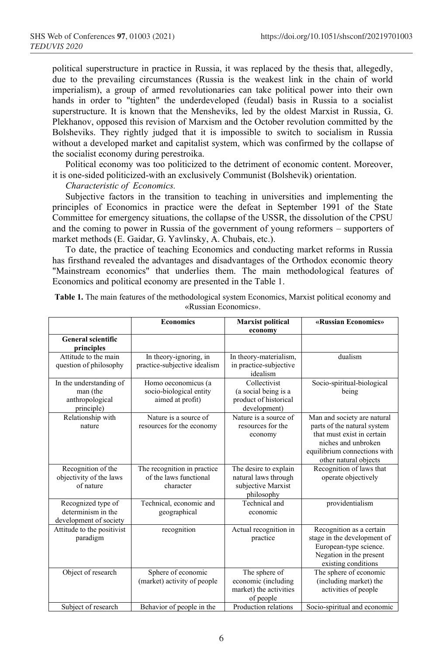political superstructure in practice in Russia, it was replaced by the thesis that, allegedly, due to the prevailing circumstances (Russia is the weakest link in the chain of world imperialism), a group of armed revolutionaries can take political power into their own hands in order to "tighten" the underdeveloped (feudal) basis in Russia to a socialist superstructure. It is known that the Mensheviks, led by the oldest Marxist in Russia, G. Plekhanov, opposed this revision of Marxism and the October revolution committed by the Bolsheviks. They rightly judged that it is impossible to switch to socialism in Russia without a developed market and capitalist system, which was confirmed by the collapse of the socialist economy during perestroika.

Political economy was too politicized to the detriment of economic content. Moreover, it is one-sided politicized-with an exclusively Communist (Bolshevik) orientation.

*Characteristic of Economics.*

Subjective factors in the transition to teaching in universities and implementing the principles of Economics in practice were the defeat in September 1991 of the State Committee for emergency situations, the collapse of the USSR, the dissolution of the CPSU and the coming to power in Russia of the government of young reformers – supporters of market methods (E. Gaidar, G. Yavlinsky, A. Chubais, etc.).

To date, the practice of teaching Economics and conducting market reforms in Russia has firsthand revealed the advantages and disadvantages of the Orthodox economic theory "Mainstream economics" that underlies them. The main methodological features of Economics and political economy are presented in the Table 1.

|                                                                      | <b>Economics</b>                                                   | <b>Marxist political</b>                                                          | «Russian Economics»                                                                                                                                                      |
|----------------------------------------------------------------------|--------------------------------------------------------------------|-----------------------------------------------------------------------------------|--------------------------------------------------------------------------------------------------------------------------------------------------------------------------|
| <b>General scientific</b>                                            |                                                                    | economy                                                                           |                                                                                                                                                                          |
| principles                                                           |                                                                    |                                                                                   |                                                                                                                                                                          |
| Attitude to the main<br>question of philosophy                       | In theory-ignoring, in<br>practice-subjective idealism             | In theory-materialism,<br>in practice-subjective<br>idealism                      | dualism                                                                                                                                                                  |
| In the understanding of<br>man (the<br>anthropological<br>principle) | Homo oeconomicus (a<br>socio-biological entity<br>aimed at profit) | Collectivist<br>(a social being is a<br>product of historical<br>development)     | Socio-spiritual-biological<br>being                                                                                                                                      |
| Relationship with<br>nature                                          | Nature is a source of<br>resources for the economy                 | Nature is a source of<br>resources for the<br>economy                             | Man and society are natural<br>parts of the natural system<br>that must exist in certain<br>niches and unbroken<br>equilibrium connections with<br>other natural objects |
| Recognition of the<br>objectivity of the laws<br>of nature           | The recognition in practice<br>of the laws functional<br>character | The desire to explain<br>natural laws through<br>subjective Marxist<br>philosophy | Recognition of laws that<br>operate objectively                                                                                                                          |
| Recognized type of<br>determinism in the<br>development of society   | Technical, economic and<br>geographical                            | Technical and<br>economic                                                         | providentialism                                                                                                                                                          |
| Attitude to the positivist<br>paradigm                               | recognition                                                        | Actual recognition in<br>practice                                                 | Recognition as a certain<br>stage in the development of<br>European-type science.<br>Negation in the present<br>existing conditions                                      |
| Object of research                                                   | Sphere of economic<br>(market) activity of people                  | The sphere of<br>economic (including<br>market) the activities<br>of people       | The sphere of economic<br>(including market) the<br>activities of people                                                                                                 |
| Subject of research                                                  | Behavior of people in the                                          | Production relations                                                              | Socio-spiritual and economic                                                                                                                                             |

**Table 1.** The main features of the methodological system Economics, Marxist political economy and «Russian Economics».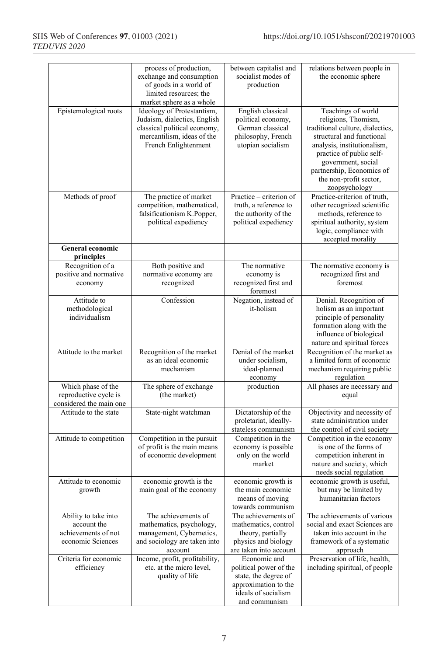|                                                                                 | process of production,<br>exchange and consumption<br>of goods in a world of<br>limited resources; the<br>market sphere as a whole               | between capitalist and<br>socialist modes of<br>production                                                                     | relations between people in<br>the economic sphere                                                                                                                                                                                                                  |
|---------------------------------------------------------------------------------|--------------------------------------------------------------------------------------------------------------------------------------------------|--------------------------------------------------------------------------------------------------------------------------------|---------------------------------------------------------------------------------------------------------------------------------------------------------------------------------------------------------------------------------------------------------------------|
| Epistemological roots                                                           | Ideology of Protestantism,<br>Judaism, dialectics, English<br>classical political economy,<br>mercantilism, ideas of the<br>French Enlightenment | English classical<br>political economy,<br>German classical<br>philosophy, French<br>utopian socialism                         | Teachings of world<br>religions, Thomism,<br>traditional culture, dialectics,<br>structural and functional<br>analysis, institutionalism,<br>practice of public self-<br>government, social<br>partnership, Economics of<br>the non-profit sector,<br>zoopsychology |
| Methods of proof                                                                | The practice of market<br>competition, mathematical,<br>falsificationism K.Popper,<br>political expediency                                       | Practice – criterion of<br>truth, a reference to<br>the authority of the<br>political expediency                               | Practice-criterion of truth,<br>other recognized scientific<br>methods, reference to<br>spiritual authority, system<br>logic, compliance with<br>accepted morality                                                                                                  |
| <b>General economic</b><br>principles                                           |                                                                                                                                                  |                                                                                                                                |                                                                                                                                                                                                                                                                     |
| Recognition of a<br>positive and normative<br>economy                           | Both positive and<br>normative economy are<br>recognized                                                                                         | The normative<br>economy is<br>recognized first and<br>foremost                                                                | The normative economy is<br>recognized first and<br>foremost                                                                                                                                                                                                        |
| Attitude to<br>methodological<br>individualism                                  | Confession                                                                                                                                       | Negation, instead of<br>it-holism                                                                                              | Denial. Recognition of<br>holism as an important<br>principle of personality<br>formation along with the<br>influence of biological<br>nature and spiritual forces                                                                                                  |
| Attitude to the market                                                          | Recognition of the market<br>as an ideal economic<br>mechanism                                                                                   | Denial of the market<br>under socialism,<br>ideal-planned<br>economy                                                           | Recognition of the market as<br>a limited form of economic<br>mechanism requiring public<br>regulation                                                                                                                                                              |
| Which phase of the<br>reproductive cycle is<br>considered the main one          | The sphere of exchange<br>(the market)                                                                                                           | production                                                                                                                     | All phases are necessary and<br>equal                                                                                                                                                                                                                               |
| Attitude to the state                                                           | State-night watchman                                                                                                                             | Dictatorship of the<br>proletariat, ideally-<br>stateless communism                                                            | Objectivity and necessity of<br>state administration under<br>the control of civil society                                                                                                                                                                          |
| Attitude to competition                                                         | Competition in the pursuit<br>of profit is the main means<br>of economic development                                                             | Competition in the<br>economy is possible<br>only on the world<br>market                                                       | Competition in the economy<br>is one of the forms of<br>competition inherent in<br>nature and society, which<br>needs social regulation                                                                                                                             |
| Attitude to economic<br>growth                                                  | economic growth is the<br>main goal of the economy                                                                                               | economic growth is<br>the main economic<br>means of moving<br>towards communism                                                | economic growth is useful,<br>but may be limited by<br>humanitarian factors                                                                                                                                                                                         |
| Ability to take into<br>account the<br>achievements of not<br>economic Sciences | The achievements of<br>mathematics, psychology,<br>management, Cybernetics,<br>and sociology are taken into<br>account                           | The achievements of<br>mathematics, control<br>theory, partially<br>physics and biology<br>are taken into account              | The achievements of various<br>social and exact Sciences are<br>taken into account in the<br>framework of a systematic<br>approach                                                                                                                                  |
| Criteria for economic<br>efficiency                                             | Income, profit, profitability,<br>etc. at the micro level,<br>quality of life                                                                    | Economic and<br>political power of the<br>state, the degree of<br>approximation to the<br>ideals of socialism<br>and communism | Preservation of life, health,<br>including spiritual, of people                                                                                                                                                                                                     |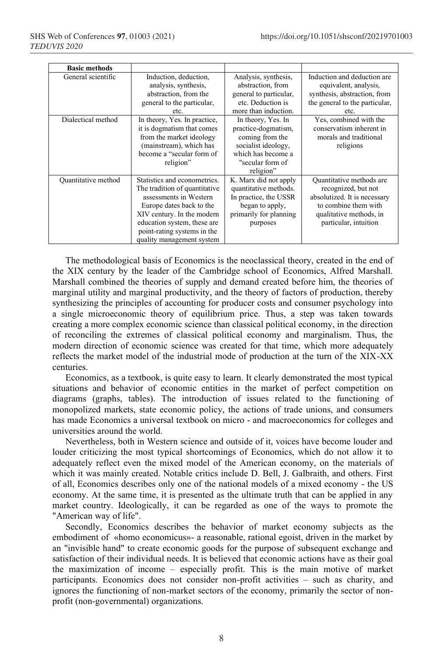| <b>Basic methods</b> |                                                                                                                                                                                                                                              |                                                                                                                                            |                                                                                                                                                             |
|----------------------|----------------------------------------------------------------------------------------------------------------------------------------------------------------------------------------------------------------------------------------------|--------------------------------------------------------------------------------------------------------------------------------------------|-------------------------------------------------------------------------------------------------------------------------------------------------------------|
| General scientific   | Induction, deduction,<br>analysis, synthesis,<br>abstraction, from the<br>general to the particular,<br>etc.                                                                                                                                 | Analysis, synthesis,<br>abstraction, from<br>general to particular,<br>etc. Deduction is<br>more than induction.                           | Induction and deduction are<br>equivalent, analysis,<br>synthesis, abstraction, from<br>the general to the particular,<br>etc.                              |
| Dialectical method   | In theory, Yes. In practice,<br>it is dogmatism that comes<br>from the market ideology<br>(mainstream), which has<br>become a "secular form of<br>religion"                                                                                  | In theory, Yes. In<br>practice-dogmatism,<br>coming from the<br>socialist ideology,<br>which has become a<br>"secular form of<br>religion" | Yes, combined with the<br>conservatism inherent in<br>morals and traditional<br>religions                                                                   |
| Quantitative method  | Statistics and econometrics.<br>The tradition of quantitative<br>assessments in Western<br>Europe dates back to the<br>XIV century. In the modern<br>education system, these are<br>point-rating systems in the<br>quality management system | K. Marx did not apply<br>quantitative methods.<br>In practice, the USSR<br>began to apply,<br>primarily for planning<br>purposes           | Quantitative methods are<br>recognized, but not<br>absolutized. It is necessary<br>to combine them with<br>qualitative methods, in<br>particular, intuition |

The methodological basis of Economics is the neoclassical theory, created in the end of the XІX century by the leader of the Cambridge school of Economics, Alfred Marshall. Marshall combined the theories of supply and demand created before him, the theories of marginal utility and marginal productivity, and the theory of factors of production, thereby synthesizing the principles of accounting for producer costs and consumer psychology into a single microeconomic theory of equilibrium price. Thus, a step was taken towards creating a more complex economic science than classical political economy, in the direction of reconciling the extremes of classical political economy and marginalism. Thus, the modern direction of economic science was created for that time, which more adequately reflects the market model of the industrial mode of production at the turn of the XIX-XX centuries.

Economics, as a textbook, is quite easy to learn. It clearly demonstrated the most typical situations and behavior of economic entities in the market of perfect competition on diagrams (graphs, tables). The introduction of issues related to the functioning of monopolized markets, state economic policy, the actions of trade unions, and consumers has made Economics a universal textbook on micro - and macroeconomics for colleges and universities around the world.

Nevertheless, both in Western science and outside of it, voices have become louder and louder criticizing the most typical shortcomings of Economics, which do not allow it to adequately reflect even the mixed model of the American economy, on the materials of which it was mainly created. Notable critics include D. Bell, J. Galbraith, and others. First of all, Economics describes only one of the national models of a mixed economy - the US economy. At the same time, it is presented as the ultimate truth that can be applied in any market country. Ideologically, it can be regarded as one of the ways to promote the "American way of life".

Secondly, Economics describes the behavior of market economy subjects as the embodiment of «homo economicus»- a reasonable, rational egoist, driven in the market by an "invisible hand" to create economic goods for the purpose of subsequent exchange and satisfaction of their individual needs. It is believed that economic actions have as their goal the maximization of income – especially profit. This is the main motive of market participants. Economics does not consider non-profit activities – such as charity, and ignores the functioning of non-market sectors of the economy, primarily the sector of nonprofit (non-governmental) organizations.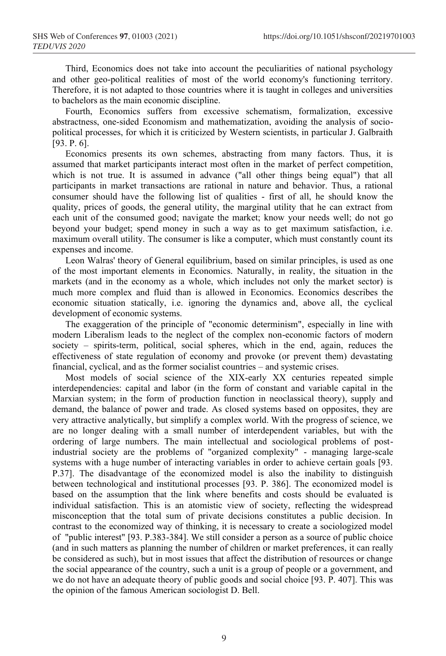Third, Economics does not take into account the peculiarities of national psychology and other geo-political realities of most of the world economy's functioning territory. Therefore, it is not adapted to those countries where it is taught in colleges and universities to bachelors as the main economic discipline.

Fourth, Economics suffers from excessive schematism, formalization, excessive abstractness, one-sided Economism and mathematization, avoiding the analysis of sociopolitical processes, for which it is criticized by Western scientists, in particular J. Galbraith [93. P. 6].

Economics presents its own schemes, abstracting from many factors. Thus, it is assumed that market participants interact most often in the market of perfect competition, which is not true. It is assumed in advance ("all other things being equal") that all participants in market transactions are rational in nature and behavior. Thus, a rational consumer should have the following list of qualities - first of all, he should know the quality, prices of goods, the general utility, the marginal utility that he can extract from each unit of the consumed good; navigate the market; know your needs well; do not go beyond your budget; spend money in such a way as to get maximum satisfaction, i.e. maximum overall utility. The consumer is like a computer, which must constantly count its expenses and income.

Leon Walras' theory of General equilibrium, based on similar principles, is used as one of the most important elements in Economics. Naturally, in reality, the situation in the markets (and in the economy as a whole, which includes not only the market sector) is much more complex and fluid than is allowed in Economics. Economics describes the economic situation statically, i.e. ignoring the dynamics and, above all, the cyclical development of economic systems.

The exaggeration of the principle of "economic determinism", especially in line with modern Liberalism leads to the neglect of the complex non-economic factors of modern society – spirits-term, political, social spheres, which in the end, again, reduces the effectiveness of state regulation of economy and provoke (or prevent them) devastating financial, cyclical, and as the former socialist countries – and systemic crises.

Most models of social science of the XІX-early XX centuries repeated simple interdependencies: capital and labor (in the form of constant and variable capital in the Marxian system; in the form of production function in neoclassical theory), supply and demand, the balance of power and trade. As closed systems based on opposites, they are very attractive analytically, but simplify a complex world. With the progress of science, we are no longer dealing with a small number of interdependent variables, but with the ordering of large numbers. The main intellectual and sociological problems of postindustrial society are the problems of "organized complexity" - managing large-scale systems with a huge number of interacting variables in order to achieve certain goals [93. P.37]. The disadvantage of the economized model is also the inability to distinguish between technological and institutional processes [93. P. 386]. The economized model is based on the assumption that the link where benefits and costs should be evaluated is individual satisfaction. This is an atomistic view of society, reflecting the widespread misconception that the total sum of private decisions constitutes a public decision. In contrast to the economized way of thinking, it is necessary to create a sociologized model of "public interest" [93. P.383-384]. We still consider a person as a source of public choice (and in such matters as planning the number of children or market preferences, it can really be considered as such), but in most issues that affect the distribution of resources or change the social appearance of the country, such a unit is a group of people or a government, and we do not have an adequate theory of public goods and social choice [93. P. 407]. This was the opinion of the famous American sociologist D. Bell.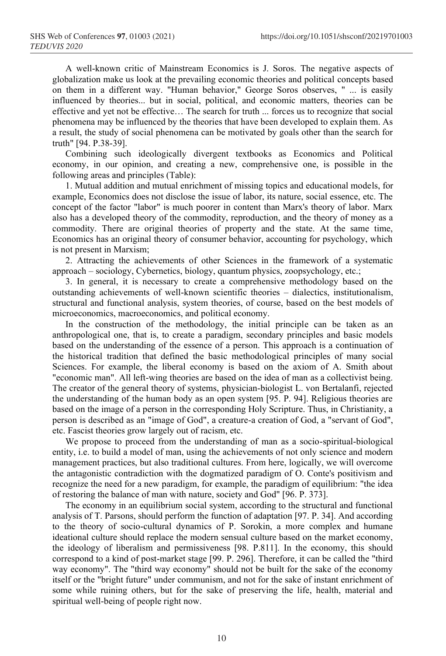A well-known critic of Mainstream Economics is J. Soros. The negative aspects of globalization make us look at the prevailing economic theories and political concepts based on them in a different way. "Human behavior," George Soros observes, " ... is easily influenced by theories... but in social, political, and economic matters, theories can be effective and yet not be effective… The search for truth ... forces us to recognize that social phenomena may be influenced by the theories that have been developed to explain them. As a result, the study of social phenomena can be motivated by goals other than the search for truth" [94. P.38-39].

Combining such ideologically divergent textbooks as Economics and Political economy, in our opinion, and creating a new, comprehensive one, is possible in the following areas and principles (Table):

1. Mutual addition and mutual enrichment of missing topics and educational models, for example, Economics does not disclose the issue of labor, its nature, social essence, etc. The concept of the factor "labor" is much poorer in content than Marx's theory of labor. Marx also has a developed theory of the commodity, reproduction, and the theory of money as a commodity. There are original theories of property and the state. At the same time, Economics has an original theory of consumer behavior, accounting for psychology, which is not present in Marxism;

2. Attracting the achievements of other Sciences in the framework of a systematic approach – sociology, Cybernetics, biology, quantum physics, zoopsychology, etc.;

3. In general, it is necessary to create a comprehensive methodology based on the outstanding achievements of well-known scientific theories – dialectics, institutionalism, structural and functional analysis, system theories, of course, based on the best models of microeconomics, macroeconomics, and political economy.

In the construction of the methodology, the initial principle can be taken as an anthropological one, that is, to create a paradigm, secondary principles and basic models based on the understanding of the essence of a person. This approach is a continuation of the historical tradition that defined the basic methodological principles of many social Sciences. For example, the liberal economy is based on the axiom of A. Smith about "economic man". All left-wing theories are based on the idea of man as a collectivist being. The creator of the general theory of systems, physician-biologist L. von Bertalanfi, rejected the understanding of the human body as an open system [95. P. 94]. Religious theories are based on the image of a person in the corresponding Holy Scripture. Thus, in Christianity, a person is described as an "image of God", a creature-a creation of God, a "servant of God", etc. Fascist theories grow largely out of racism, etc.

We propose to proceed from the understanding of man as a socio-spiritual-biological entity, i.e. to build a model of man, using the achievements of not only science and modern management practices, but also traditional cultures. From here, logically, we will overcome the antagonistic contradiction with the dogmatized paradigm of O. Conte's positivism and recognize the need for a new paradigm, for example, the paradigm of equilibrium: "the idea of restoring the balance of man with nature, society and God" [96. P. 373].

The economy in an equilibrium social system, according to the structural and functional analysis of T. Parsons, should perform the function of adaptation [97. P. 34]. And according to the theory of socio-cultural dynamics of P. Sorokin, a more complex and humane ideational culture should replace the modern sensual culture based on the market economy, the ideology of liberalism and permissiveness [98. P.811]. In the economy, this should correspond to a kind of post-market stage [99. P. 296]. Therefore, it can be called the "third way economy". The "third way economy" should not be built for the sake of the economy itself or the "bright future" under communism, and not for the sake of instant enrichment of some while ruining others, but for the sake of preserving the life, health, material and spiritual well-being of people right now.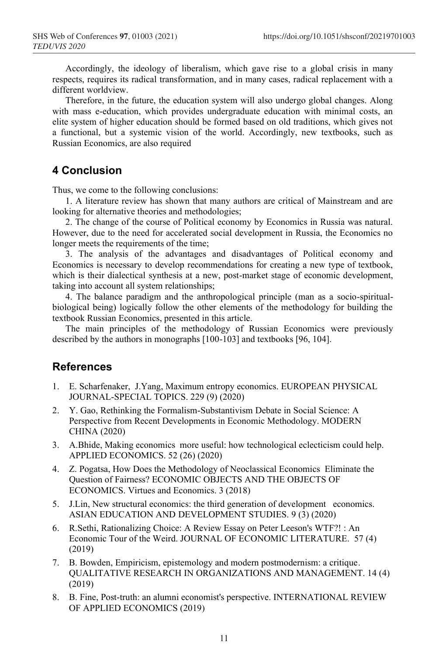Accordingly, the ideology of liberalism, which gave rise to a global crisis in many respects, requires its radical transformation, and in many cases, radical replacement with a different worldview.

Therefore, in the future, the education system will also undergo global changes. Along with mass e-education, which provides undergraduate education with minimal costs, an elite system of higher education should be formed based on old traditions, which gives not a functional, but a systemic vision of the world. Accordingly, new textbooks, such as Russian Economics, are also required

# **4 Conclusion**

Thus, we come to the following conclusions:

1. A literature review has shown that many authors are critical of Mainstream and are looking for alternative theories and methodologies;

2. The change of the course of Political economy by Economics in Russia was natural. However, due to the need for accelerated social development in Russia, the Economics no longer meets the requirements of the time;

3. The analysis of the advantages and disadvantages of Political economy and Economics is necessary to develop recommendations for creating a new type of textbook, which is their dialectical synthesis at a new, post-market stage of economic development, taking into account all system relationships;

4. The balance paradigm and the anthropological principle (man as a socio-spiritualbiological being) logically follow the other elements of the methodology for building the textbook Russian Economics, presented in this article.

The main principles of the methodology of Russian Economics were previously described by the authors in monographs [100-103] and textbooks [96, 104].

#### **References**

- 1. E. Scharfenaker, J.Yang, Maximum entropy economics. EUROPEAN PHYSICAL JOURNAL-SPECIAL TOPICS. 229 (9) (2020)
- 2. Y. Gao, Rethinking the Formalism-Substantivism Debate in Social Science: A Perspective from Recent Developments in Economic Methodology. MODERN CHINA (2020)
- 3. A.Bhide, Making economics more useful: how technological eclecticism could help. APPLIED ECONOMICS. 52 (26) (2020)
- 4. Z. Pogatsa, How Does the Methodology of Neoclassical Economics Eliminate the Question of Fairness? ECONOMIC OBJECTS AND THE OBJECTS OF ECONOMICS. Virtues and Economics. 3 (2018)
- 5. J.Lin, New structural economics: the third generation of development economics. ASIAN EDUCATION AND DEVELOPMENT STUDIES. 9 (3) (2020)
- 6. R.Sethi, Rationalizing Choice: A Review Essay on Peter Leeson's WTF?! : An Economic Tour of the Weird. JOURNAL OF ECONOMIC LITERATURE. 57 (4) (2019)
- 7. B. Bowden, Empiricism, epistemology and modern postmodernism: a critique. QUALITATIVE RESEARCH IN ORGANIZATIONS AND MANAGEMENT. 14 (4) (2019)
- 8. B. Fine, Post-truth: an alumni economist's perspective. INTERNATIONAL REVIEW OF APPLIED ECONOMICS (2019)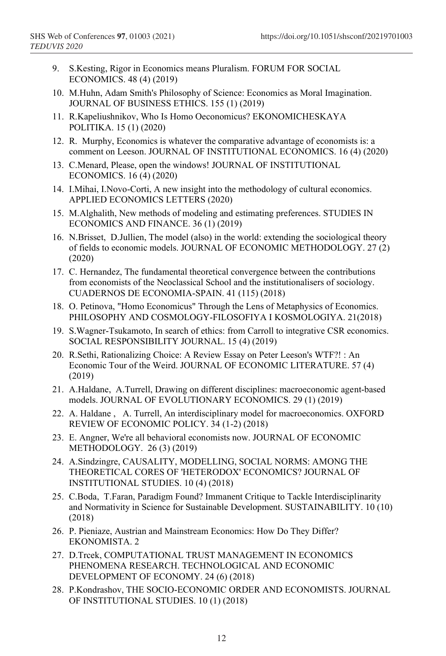- 9. S.Kesting, Rigor in Economics means Pluralism. FORUM FOR SOCIAL ECONOMICS. 48 (4) (2019)
- 10. M.Huhn, Adam Smith's Philosophy of Science: Economics as Moral Imagination. JOURNAL OF BUSINESS ETHICS. 155 (1) (2019)
- 11. R.Kapeliushnikov, Who Is Homo Oeconomicus? EKONOMICHESKAYA POLITIKA. 15 (1) (2020)
- 12. R. Murphy, Economics is whatever the comparative advantage of economists is: a comment on Leeson. JOURNAL OF INSTITUTIONAL ECONOMICS. 16 (4) (2020)
- 13. C.Menard, Please, open the windows! JOURNAL OF INSTITUTIONAL ECONOMICS. 16 (4) (2020)
- 14. I.Mihai, I.Novo-Corti, A new insight into the methodology of cultural economics. APPLIED ECONOMICS LETTERS (2020)
- 15. M.Alghalith, New methods of modeling and estimating preferences. STUDIES IN ECONOMICS AND FINANCE. 36 (1) (2019)
- 16. N.Brisset, D.Jullien, The model (also) in the world: extending the sociological theory of fields to economic models. JOURNAL OF ECONOMIC METHODOLOGY. 27 (2) (2020)
- 17. C. Hernandez, The fundamental theoretical convergence between the contributions from economists of the Neoclassical School and the institutionalisers of sociology. CUADERNOS DE ECONOMIA-SPAIN. 41 (115) (2018)
- 18. O. Petinova, "Homo Economicus" Through the Lens of Metaphysics of Economics. PHILOSOPHY AND COSMOLOGY-FILOSOFIYA I KOSMOLOGIYA. 21(2018)
- 19. S.Wagner-Tsukamoto, In search of ethics: from Carroll to integrative CSR economics. SOCIAL RESPONSIBILITY JOURNAL. 15 (4) (2019)
- 20. R.Sethi, Rationalizing Choice: A Review Essay on Peter Leeson's WTF?! : An Economic Tour of the Weird. JOURNAL OF ECONOMIC LITERATURE. 57 (4) (2019)
- 21. A.Haldane, A.Turrell, Drawing on different disciplines: macroeconomic agent-based models. JOURNAL OF EVOLUTIONARY ECONOMICS. 29 (1) (2019)
- 22. A. Haldane , A. Turrell, An interdisciplinary model for macroeconomics. OXFORD REVIEW OF ECONOMIC POLICY. 34 (1-2) (2018)
- 23. E. Angner, We're all behavioral economists now. JOURNAL OF ECONOMIC METHODOLOGY. 26 (3) (2019)
- 24. A.Sindzingre, CAUSALITY, MODELLING, SOCIAL NORMS: AMONG THE THEORETICAL CORES OF 'HETERODOX' ECONOMICS? JOURNAL OF INSTITUTIONAL STUDIES. 10 (4) (2018)
- 25. C.Boda, T.Faran, Paradigm Found? Immanent Critique to Tackle Interdisciplinarity and Normativity in Science for Sustainable Development. SUSTAINABILITY. 10 (10) (2018)
- 26. P. Pieniaze, Austrian and Mainstream Economics: How Do They Differ? EKONOMISTA. 2
- 27. D.Trcek, COMPUTATIONAL TRUST MANAGEMENT IN ECONOMICS PHENOMENA RESEARCH. TECHNOLOGICAL AND ECONOMIC DEVELOPMENT OF ECONOMY. 24 (6) (2018)
- 28. P.Kondrashov, THE SOCIO-ECONOMIC ORDER AND ECONOMISTS. JOURNAL OF INSTITUTIONAL STUDIES. 10 (1) (2018)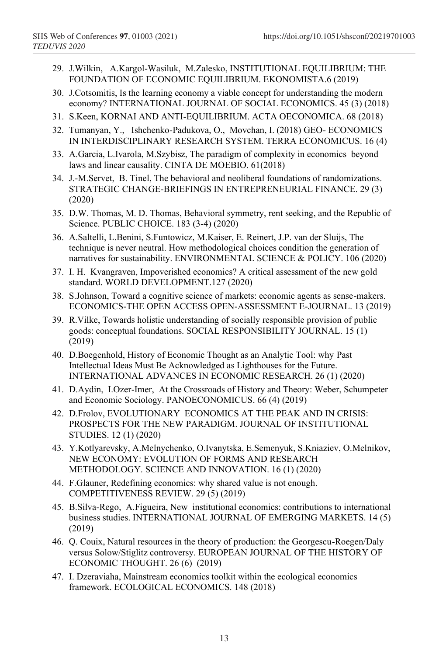- 29. J.Wilkin, A.Kargol-Wasiluk, M.Zalesko, INSTITUTIONAL EQUILIBRIUM: THE FOUNDATION OF ECONOMIC EQUILIBRIUM. EKONOMISTA.6 (2019)
- 30. J.Cotsomitis, Is the learning economy a viable concept for understanding the modern economy? INTERNATIONAL JOURNAL OF SOCIAL ECONOMICS. 45 (3) (2018)
- 31. S.Keen, KORNAI AND ANTI-EQUILIBRIUM. ACTA OECONOMICA. 68 (2018)
- 32. Tumanyan, Y., Ishchenko-Padukova, O., Movchan, I. (2018) GEO- ECONOMICS IN INTERDISCIPLINARY RESEARCH SYSTEM. TERRA ECONOMICUS. 16 (4)
- 33. A.Garcia, L.Ivarola, M.Szybisz, The paradigm of complexity in economics beyond laws and linear causality. CINTA DE MOEBIO. 61(2018)
- 34. J.-M.Servet, B. Tinel, The behavioral and neoliberal foundations of randomizations. STRATEGIC CHANGE-BRIEFINGS IN ENTREPRENEURIAL FINANCE. 29 (3) (2020)
- 35. D.W. Thomas, M. D. Thomas, Behavioral symmetry, rent seeking, and the Republic of Science. PUBLIC CHOICE. 183 (3-4) (2020)
- 36. A.Saltelli, L.Benini, S.Funtowicz, M.Kaiser, E. Reinert, J.P. van der Sluijs, The technique is never neutral. How methodological choices condition the generation of narratives for sustainability. ENVIRONMENTAL SCIENCE & POLICY. 106 (2020)
- 37. I. H. Kvangraven, Impoverished economics? A critical assessment of the new gold standard. WORLD DEVELOPMENT.127 (2020)
- 38. S.Johnson, Toward a cognitive science of markets: economic agents as sense-makers. ECONOMICS-THE OPEN ACCESS OPEN-ASSESSMENT E-JOURNAL. 13 (2019)
- 39. R.Vilke, Towards holistic understanding of socially responsible provision of public goods: conceptual foundations. SOCIAL RESPONSIBILITY JOURNAL. 15 (1) (2019)
- 40. D.Boegenhold, History of Economic Thought as an Analytic Tool: why Past Intellectual Ideas Must Be Acknowledged as Lighthouses for the Future. INTERNATIONAL ADVANCES IN ECONOMIC RESEARCH. 26 (1) (2020)
- 41. D.Aydin, I.Ozer-Imer, At the Crossroads of History and Theory: Weber, Schumpeter and Economic Sociology. PANOECONOMICUS. 66 (4) (2019)
- 42. D.Frolov, EVOLUTIONARY ECONOMICS AT THE PEAK AND IN CRISIS: PROSPECTS FOR THE NEW PARADIGM. JOURNAL OF INSTITUTIONAL STUDIES. 12 (1) (2020)
- 43. Y.Kotlyarevsky, A.Melnychenko, O.Ivanytska, E.Semenyuk, S.Kniaziev, O.Melnikov, NEW ECONOMY: EVOLUTION OF FORMS AND RESEARCH METHODOLOGY. SCIENCE AND INNOVATION. 16 (1) (2020)
- 44. F.Glauner, Redefining economics: why shared value is not enough. COMPETITIVENESS REVIEW. 29 (5) (2019)
- 45. B.Silva-Rego, A.Figueira, New institutional economics: contributions to international business studies. INTERNATIONAL JOURNAL OF EMERGING MARKETS. 14 (5) (2019)
- 46. Q. Couix, Natural resources in the theory of production: the Georgescu-Roegen/Daly versus Solow/Stiglitz controversy. EUROPEAN JOURNAL OF THE HISTORY OF ECONOMIC THOUGHT. 26 (6) (2019)
- 47. I. Dzeraviaha, Mainstream economics toolkit within the ecological economics framework. ECOLOGICAL ECONOMICS. 148 (2018)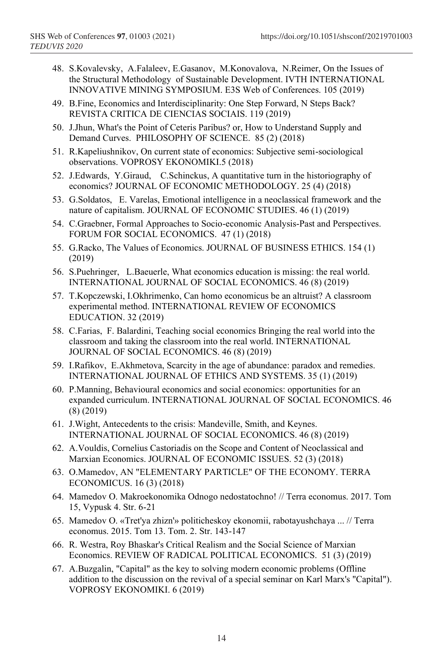- 48. S.Kovalevsky, A.Falaleev, E.Gasanov, M.Konovalova, N.Reimer, On the Issues of the Structural Methodology of Sustainable Development. IVTH INTERNATIONAL INNOVATIVE MINING SYMPOSIUM. E3S Web of Conferences. 105 (2019)
- 49. B.Fine, Economics and Interdisciplinarity: One Step Forward, N Steps Back? REVISTA CRITICA DE CIENCIAS SOCIAIS. 119 (2019)
- 50. J.Jhun, What's the Point of Ceteris Paribus? or, How to Understand Supply and Demand Curves. PHILOSOPHY OF SCIENCE. 85 (2) (2018)
- 51. R.Kapeliushnikov, On current state of economics: Subjective semi-sociological observations. VOPROSY EKONOMIKI.5 (2018)
- 52. J.Edwards, Y.Giraud, C.Schinckus, A quantitative turn in the historiography of economics? JOURNAL OF ECONOMIC METHODOLOGY. 25 (4) (2018)
- 53. G.Soldatos, E. Varelas, Emotional intelligence in a neoclassical framework and the nature of capitalism. JOURNAL OF ECONOMIC STUDIES. 46 (1) (2019)
- 54. C.Graebner, Formal Approaches to Socio-economic Analysis-Past and Perspectives. FORUM FOR SOCIAL ECONOMICS. 47 (1) (2018)
- 55. G.Racko, The Values of Economics. JOURNAL OF BUSINESS ETHICS. 154 (1) (2019)
- 56. S.Puehringer, L.Baeuerle, What economics education is missing: the real world. INTERNATIONAL JOURNAL OF SOCIAL ECONOMICS. 46 (8) (2019)
- 57. T.Kopczewski, I.Okhrimenko, Can homo economicus be an altruist? A classroom experimental method. INTERNATIONAL REVIEW OF ECONOMICS EDUCATION. 32 (2019)
- 58. C.Farias, F. Balardini, Teaching social economics Bringing the real world into the classroom and taking the classroom into the real world. INTERNATIONAL JOURNAL OF SOCIAL ECONOMICS. 46 (8) (2019)
- 59. I.Rafikov, E.Akhmetova, Scarcity in the age of abundance: paradox and remedies. INTERNATIONAL JOURNAL OF ETHICS AND SYSTEMS. 35 (1) (2019)
- 60. P.Manning, Behavioural economics and social economics: opportunities for an expanded curriculum. INTERNATIONAL JOURNAL OF SOCIAL ECONOMICS. 46 (8) (2019)
- 61. J.Wight, Antecedents to the crisis: Mandeville, Smith, and Keynes. INTERNATIONAL JOURNAL OF SOCIAL ECONOMICS. 46 (8) (2019)
- 62. A.Vouldis, Cornelius Castoriadis on the Scope and Content of Neoclassical and Marxian Economics. JOURNAL OF ECONOMIC ISSUES. 52 (3) (2018)
- 63. O.Mamedov, AN "ELEMENTARY PARTICLE" OF THE ECONOMY. TERRA ECONOMICUS. 16 (3) (2018)
- 64. Mamedov O. Makroekonomika Odnogo nedostatochno! // Terra economus. 2017. Tom 15, Vypusk 4. Str. 6-21
- 65. Mamedov O. «Tret'ya zhizn'» politicheskoy ekonomii, rabotayushchaya ... // Terra economus. 2015. Tom 13. Tom. 2. Str. 143-147
- 66. R. Westra, Roy Bhaskar's Critical Realism and the Social Science of Marxian Economics. REVIEW OF RADICAL POLITICAL ECONOMICS. 51 (3) (2019)
- 67. A.Buzgalin, "Capital" as the key to solving modern economic problems (Offline addition to the discussion on the revival of a special seminar on Karl Marx's "Capital"). VOPROSY EKONOMIKI. 6 (2019)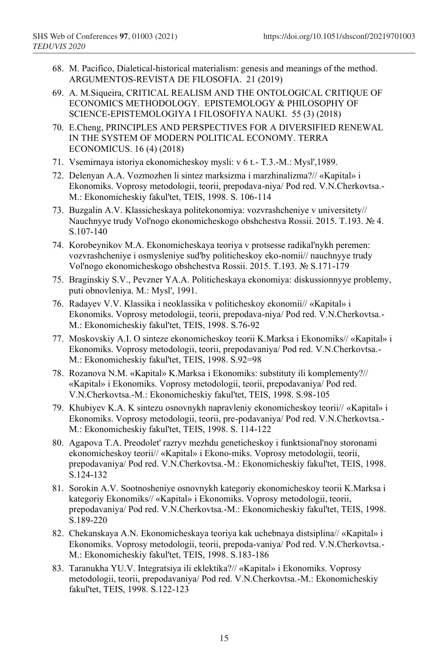- 68. M. Pacifico, Dialetical-historical materialism: genesis and meanings of the method. ARGUMENTOS-REVISTA DE FILOSOFIA. 21 (2019)
- 69. A. M.Siqueira, CRITICAL REALISM AND THE ONTOLOGICAL CRITIQUE OF ECONOMICS METHODOLOGY. EPISTEMOLOGY & PHILOSOPHY OF SCIENCE-EPISTEMOLOGIYA I FILOSOFIYA NAUKI. 55 (3) (2018)
- 70. E.Cheng, PRINCIPLES AND PERSPECTIVES FOR A DIVERSIFIED RENEWAL IN THE SYSTEM OF MODERN POLITICAL ECONOMY. TERRA ECONOMICUS. 16 (4) (2018)
- 71. Vsemirnaya istoriya ekonomicheskoy mysli: v 6 t.- T.3.-M.: Mysl',1989.
- 72. Delenyan A.A. Vozmozhen li sintez marksizma i marzhinalizma?// «Kapital» i Ekonomiks. Voprosy metodologii, teorii, prepodava-niya/ Pod red. V.N.Cherkovtsa.- M.: Ekonomicheskiy fakul'tet, TEIS, 1998. S. 106-114
- 73. Buzgalin A.V. Klassicheskaya politekonomiya: vozvrashcheniye v universitety// Nauchnyye trudy Vol'nogo ekonomicheskogo obshchestva Rossii. 2015. T.193. № 4. S.107-140
- 74. Korobeynikov M.A. Ekonomicheskaya teoriya v protsesse radikal'nykh peremen: vozvrashcheniye i osmysleniye sud'by politicheskoy eko-nomii// nauchnyye trudy Vol'nogo ekonomicheskogo obshchestva Rossii. 2015. T.193. № S.171-179
- 75. Braginskiy S.V., Pevzner YA.A. Politicheskaya ekonomiya: diskussionnyye problemy, puti obnovleniya. M.: Mysl', 1991.
- 76. Radayev V.V. Klassika i neoklassika v politicheskoy ekonomii// «Kapital» i Ekonomiks. Voprosy metodologii, teorii, prepodava-niya/ Pod red. V.N.Cherkovtsa.- M.: Ekonomicheskiy fakul'tet, TEIS, 1998. S.76-92
- 77. Moskovskiy A.I. O sinteze ekonomicheskoy teorii K.Marksa i Ekonomiks// «Kapital» i Ekonomiks. Voprosy metodologii, teorii, prepodavaniya/ Pod red. V.N.Cherkovtsa.- M.: Ekonomicheskiy fakul'tet, TEIS, 1998. S.92=98
- 78. Rozanova N.M. «Kapital» K.Marksa i Ekonomiks: substituty ili komplementy?// «Kapital» i Ekonomiks. Voprosy metodologii, teorii, prepodavaniya/ Pod red. V.N.Cherkovtsa.-M.: Ekonomicheskiy fakul'tet, TEIS, 1998. S.98-105
- 79. Khubiyev K.A. K sintezu osnovnykh napravleniy ekonomicheskoy teorii// «Kapital» i Ekonomiks. Voprosy metodologii, teorii, pre-podavaniya/ Pod red. V.N.Cherkovtsa.- M.: Ekonomicheskiy fakul'tet, TEIS, 1998. S. 114-122
- 80. Agapova T.A. Preodolet' razryv mezhdu geneticheskoy i funktsional'noy storonami ekonomicheskoy teorii// «Kapital» i Ekono-miks. Voprosy metodologii, teorii, prepodavaniya/ Pod red. V.N.Cherkovtsa.-M.: Ekonomicheskiy fakul'tet, TEIS, 1998. S.124-132
- 81. Sorokin A.V. Sootnosheniye osnovnykh kategoriy ekonomicheskoy teorii K.Marksa i kategoriy Ekonomiks// «Kapital» i Ekonomiks. Voprosy metodologii, teorii, prepodavaniya/ Pod red. V.N.Cherkovtsa.-M.: Ekonomicheskiy fakul'tet, TEIS, 1998. S.189-220
- 82. Chekanskaya A.N. Ekonomicheskaya teoriya kak uchebnaya distsiplina// «Kapital» i Ekonomiks. Voprosy metodologii, teorii, prepoda-vaniya/ Pod red. V.N.Cherkovtsa.- M.: Ekonomicheskiy fakul'tet, TEIS, 1998. S.183-186
- 83. Taranukha YU.V. Integratsiya ili eklektika?// «Kapital» i Ekonomiks. Voprosy metodologii, teorii, prepodavaniya/ Pod red. V.N.Cherkovtsa.-M.: Ekonomicheskiy fakul'tet, TEIS, 1998. S.122-123